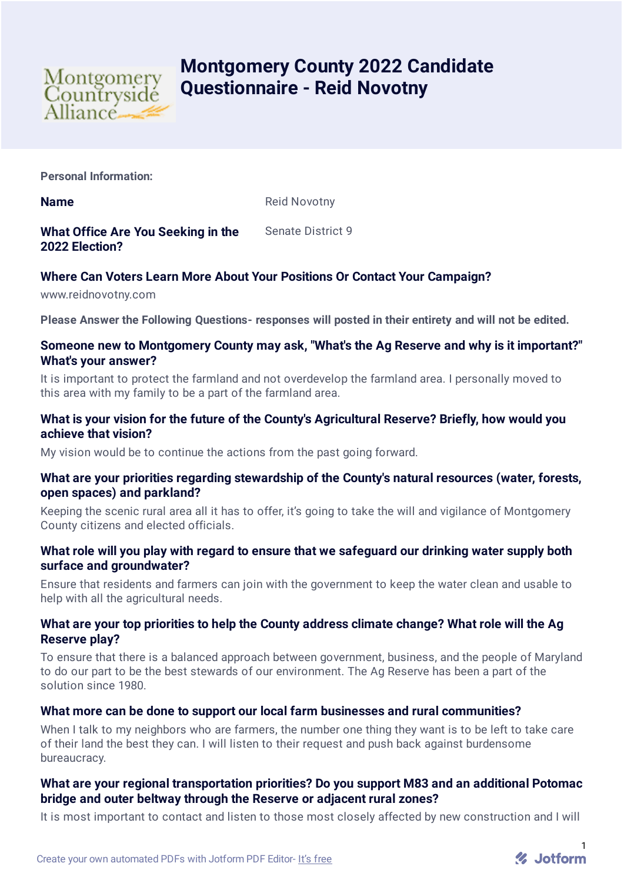

# **Montgomery County 2022 Candidate Questionnaire - Reid Novotny**

**Personal Information:**

**Name** Reid Novotny

**What Office Are You Seeking in the 2022 Election?** Senate District 9

# **Where Can Voters Learn More About Your Positions Or Contact Your Campaign?**

www.reidnovotny.com

**Please Answer the Following Questions- responses will posted in their entirety and will not be edited.**

#### **Someone new to Montgomery County may ask, "What's the Ag Reserve and why is it important?" What's your answer?**

It is important to protect the farmland and not overdevelop the farmland area. I personally moved to this area with my family to be a part of the farmland area.

## **What is your vision for the future of the County's Agricultural Reserve? Briefly, how would you achieve that vision?**

My vision would be to continue the actions from the past going forward.

#### **What are your priorities regarding stewardship of the County's natural resources (water, forests, open spaces) and parkland?**

Keeping the scenic rural area all it has to offer, it's going to take the will and vigilance of Montgomery County citizens and elected officials.

#### **What role will you play with regard to ensure that we safeguard our drinking water supply both surface and groundwater?**

Ensure that residents and farmers can join with the government to keep the water clean and usable to help with all the agricultural needs.

## **What are your top priorities to help the County address climate change? What role will the Ag Reserve play?**

To ensure that there is a balanced approach between government, business, and the people of Maryland to do our part to be the best stewards of our environment. The Ag Reserve has been a part of the solution since 1980.

#### **What more can be done to support our local farm businesses and rural communities?**

When I talk to my neighbors who are farmers, the number one thing they want is to be left to take care of their land the best they can. I will listen to their request and push back against burdensome bureaucracy.

## **What are your regional transportation priorities? Do you support M83 and an additional Potomac bridge and outer beltway through the Reserve or adjacent rural zones?**

It is most important to contact and listen to those most closely affected by new construction and I will